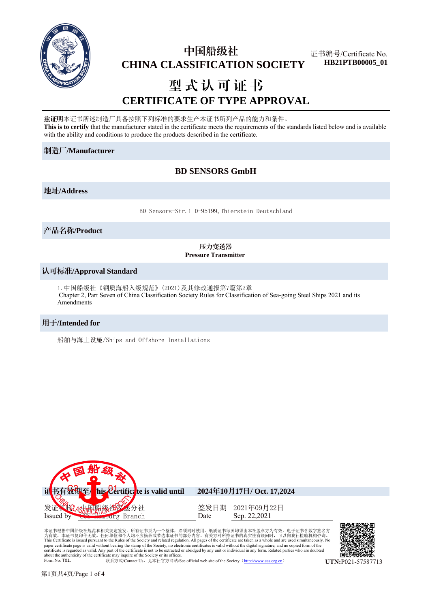

# 中国船级社  **CHINA CLASSIFICATION SOCIETY**

证书编号/Certificate No. **HB21PTB00005\_01**

# 型式认可证书 **CERTIFICATE OF TYPE APPROVAL**

兹证明本证书所述制造厂具备按照下列标准的要求生产本证书所列产品的能力和条件。 **This is to certify** that the manufacturer stated in the certificate meets the requirements of the standards listed below and is available with the ability and conditions to produce the products described in the certificate.

#### 制造厂**/Manufacturer**

# **BD SENSORS GmbH**

#### 地址**/Address**

BD Sensors-Str.1 D-95199,Thierstein Deutschland

产品名称**/Product**

#### 压力变送器 **Pressure Transmitter**

#### 认可标准**/Approval Standard**

1.中国船级社《钢质海船入级规范》(2021)及其修改通报第7篇第2章 Chapter 2, Part Seven of China Classification Society Rules for Classification of Sea-going Steel Ships 2021 and its Amendments

#### 用于**/Intended for**

船舶与海上设施/Ships and Offshore Installations



本证书根据中国船级社规范和相关规定签发。所有证书页为一个整体,必须同时使用。纸质证书每页均须由本社盖章方为有效,电子证书含数字签名方<br>为有效,本证书复印件无效。任何单位和个人均不应摘录或节选本证书的部分内容。有关方对所持证书的真实性有疑问时,可以向我社检验机构咨询。 This Certificate is issued pursuant to the Rules of the Society and related regulation. All pages of the certificate are taken as a whole and are used simultaneously. No<br>paper certificate page is valid without bearing the certificate is regarded as valid. Any part of the certificate is not to be extracted or abridged by any unit or individual in any form. Related parties who are doubted about the authenticity of the certificate may inquire of the Society or its offices.<br>
Form No: T01 **联系方式/Contact Us,见本社官方网站/See official web site of the Society (http://www.ccs.org.cn) <br>
UTN:P021-57587713** 

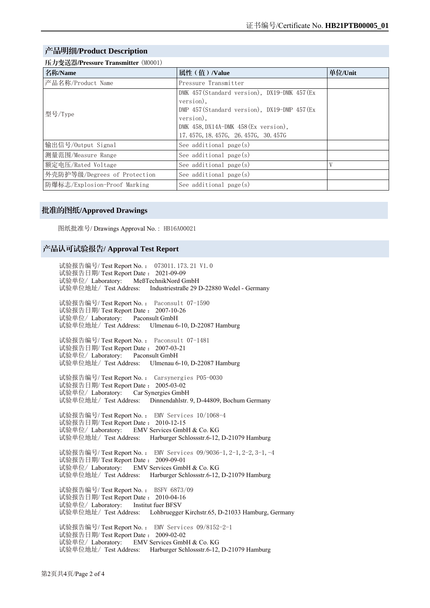#### 产品明细**/Product Description**

| 压力变送器/Pressure Transmitter (M0001) |                                                                                                                                                                                                      |         |  |
|------------------------------------|------------------------------------------------------------------------------------------------------------------------------------------------------------------------------------------------------|---------|--|
| 名称/Name                            | 属性 (值) /Value                                                                                                                                                                                        | 单位/Unit |  |
| 产品名称/Product Name                  | Pressure Transmitter                                                                                                                                                                                 |         |  |
| 型号/Type                            | DMK 457 (Standard version), DX19-DMK 457 (Ex<br>version),<br>DMP 457 (Standard version), DX19-DMP 457 (Ex<br>version).<br>DMK 458, DX14A-DMK 458 (Ex version),<br>17.457G, 18.457G, 26.457G, 30.457G |         |  |
| 输出信号/Output Signal                 | See additional page(s)                                                                                                                                                                               |         |  |
| 测量范围/Measure Range                 | See additional page $(s)$                                                                                                                                                                            |         |  |
| 额定电压/Rated Voltage                 | See additional page(s)                                                                                                                                                                               | V       |  |
| 外壳防护等级/Degrees of Protection       | See additional $page(s)$                                                                                                                                                                             |         |  |
| 防爆标志/Explosion-Proof Marking       | See additional $page(s)$                                                                                                                                                                             |         |  |

#### 批准的图纸**/Approved Drawings**

图纸批准号/ Drawings Approval No. : HB16A00021

#### 产品认可试验报告**/ Approval Test Report**

试验报告编号/ Test Report No. : 073011.173.21 V1.0 试验报告日期/ Test Report Date : 2021-09-09 试验单位/ Laboratory: MeßTechnikNord GmbH 试验单位地址/ Test Address: Industriestraße 29 D-22880 Wedel - Germany 试验报告编号/ Test Report No. : Paconsult 07-1590 试验报告日期/ Test Report Date : 2007-10-26 试验单位/ Laboratory: Paconsult GmbH 试验单位地址/ Test Address: Ulmenau 6-10, D-22087 Hamburg 试验报告编号/ Test Report No. : Paconsult 07-1481 试验报告日期/ Test Report Date : 2007-03-21 试验单位/ Laboratory: Paconsult GmbH 试验单位地址/ Test Address: Ulmenau 6-10, D-22087 Hamburg 试验报告编号/ Test Report No. : Carsynergies P05-0030 试验报告日期/ Test Report Date : 2005-03-02 试验单位/ Laboratory: Car Synergies GmbH 试验单位地址/ Test Address: Dinnendahlstr. 9, D-44809, Bochum Germany 试验报告编号/ Test Report No. : EMV Services 10/1068-4 试验报告日期/ Test Report Date : 2010-12-15 试验单位/ Laboratory: EMV Services GmbH & Co. KG 试验单位地址/ Test Address: Harburger Schlossstr.6-12, D-21079 Hamburg 试验报告编号/ Test Report No.: EMV Services 09/9036-1, 2-1, 2-2, 3-1, -4 试验报告日期/ Test Report Date : 2009-09-01 试验单位/ Laboratory: EMV Services GmbH & Co. KG 试验单位地址/ Test Address: Harburger Schlossstr.6-12, D-21079 Hamburg 试验报告编号/ Test Report No. : BSFV 6873/09 试验报告日期/ Test Report Date : 2010-04-16 试验单位/ Laboratory: Institut fuer BFSV 试验单位地址/ Test Address: Lohbruegger Kirchstr.65, D-21033 Hamburg, Germany 试验报告编号/ Test Report No. : EMV Services 09/8152-2-1 试验报告日期/ Test Report Date : 2009-02-02 试验单位/ Laboratory: EMV Services GmbH & Co. KG 试验单位地址/ Test Address: Harburger Schlossstr.6-12, D-21079 Hamburg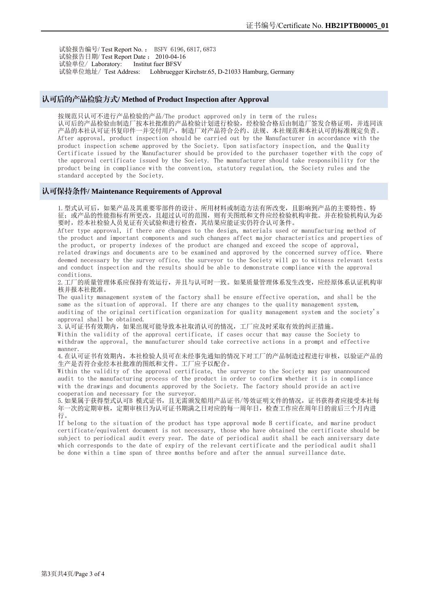试验报告编号/ Test Report No. : BSFV 6196,6817,6873 试验报告日期/ Test Report Date : 2010-04-16 试验单位/ Laboratory: Institut fuer BFSV 试验单位地址/ Test Address: Lohbruegger Kirchstr.65, D-21033 Hamburg, Germany

#### 认可后的产品检验方式**/ Method of Product Inspection after Approval**

按规范只认可不进行产品检验的产品/The product approved only in term of the rules: 认可后的产品检验由制造厂按本社批准的产品检验计划进行检验,经检验合格后由制造厂签发合格证明,并连同该 产品的本社认可证书复印件一并交付用户,制造厂对产品符合公约、法规、本社规范和本社认可的标准规定负责。 After approval, product inspection should be carried out by the Manufacturer in accordance with the product inspection scheme approved by the Society. Upon satisfactory inspection, and the Quality Certificate issued by the Manufacturer should be provided to the purchaser together with the copy of the approval certificate issued by the Society. The manufacturer should take responsibility for the product being in compliance with the convention, statutory regulation, the Society rules and the standard accepted by the Society.

#### 认可保持条件**/ Maintenance Requirements of Approval**

1.型式认可后,如果产品及其重要零部件的设计、所用材料或制造方法有所改变,且影响到产品的主要特性、特 征;或产品的性能指标有所更改,且超过认可的范围,则有关图纸和文件应经检验机构审批。并在检验机构认为必 要时,经本社检验人员见证有关试验和进行检查,其结果应能证实仍符合认可条件。

After type approval, if there are changes to the design, materials used or manufacturing method of the product and important components and such changes affect major characteristics and properties of the product, or property indexes of the product are changed and exceed the scope of approval,

related drawings and documents are to be examined and approved by the concerned survey office. Where deemed necessary by the survey office, the surveyor to the Society will go to witness relevant tests and conduct inspection and the results should be able to demonstrate compliance with the approval conditions.

2.工厂的质量管理体系应保持有效运行,并且与认可时一致。如果质量管理体系发生改变,应经原体系认证机构审 核并报本社批准。

The quality management system of the factory shall be ensure effective operation, and shall be the same as the situation of approval. If there are any changes to the quality management system, auditing of the original certification organization for quality management system and the society's approval shall be obtained.

3.认可证书有效期内,如果出现可能导致本社取消认可的情况,工厂应及时采取有效的纠正措施。

Within the validity of the approval certificate, if cases occur that may cause the Society to withdraw the approval, the manufacturer should take corrective actions in a prompt and effective manner.

4. 在认可证书有效期内, 本社检验人员可在未经事先通知的情况下对工厂的产品制造过程进行审核, 以验证产品的 生产是否符合业经本社批准的图纸和文件。工厂应予以配合。

Within the validity of the approval certificate, the surveyor to the Society may pay unannounced audit to the manufacturing process of the product in order to confirm whether it is in compliance with the drawings and documents approved by the Society. The factory should provide an active cooperation and necessary for the surveyor.

5. 如果属于获得型式认可B 模式证书, 且无需颁发船用产品证书/等效证明文件的情况, 证书获得者应接受本社每 年一次的定期审核,定期审核日为认可证书期满之日对应的每一周年日,检查工作应在周年日的前后三个月内进 行。

If belong to the situation of the product has type approval mode B certificate, and marine product certificate/equivalent document is not necessary, those who have obtained the certificate should be subject to periodical audit every year. The date of periodical audit shall be each anniversary date which corresponds to the date of expiry of the relevant certificate and the periodical audit shall be done within a time span of three months before and after the annual surveillance date.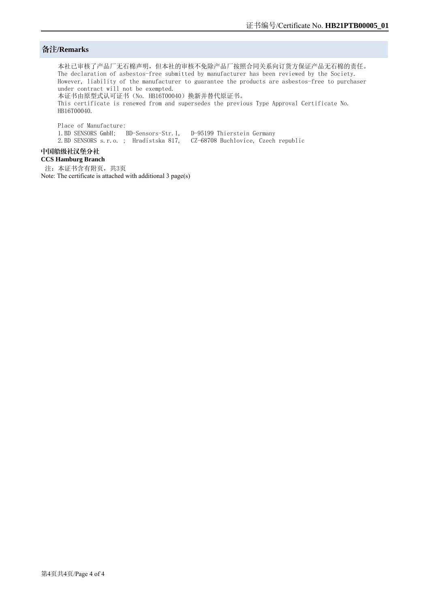#### 备注**/Remarks**

本社已审核了产品厂无石棉声明,但本社的审核不免除产品厂按照合同关系向订货方保证产品无石棉的责任。 The declaration of asbestos-free submitted by manufacturer has been reviewed by the Society. However, liability of the manufacturer to guarantee the products are asbestos-free to purchaser under contract will not be exempted. 本证书由原型式认可证书(No. HB16T00040)换新并替代原证书。 This certificate is renewed from and supersedes the previous Type Approval Certificate No. HB16T00040.

Place of Manufacture: 1.BD SENSORS GmbH; BD-Sensors-Str.1, D-95199 Thierstein Germany 2.BD SENSORS s.r.o. ; Hradistska 817, CZ-68708 Buchlovice, Czech republic

## 中国船级社汉堡分社

**CCS Hamburg Branch**  注: 本证书含有附页, 共3页 Note: The certificate is attached with additional 3 page(s)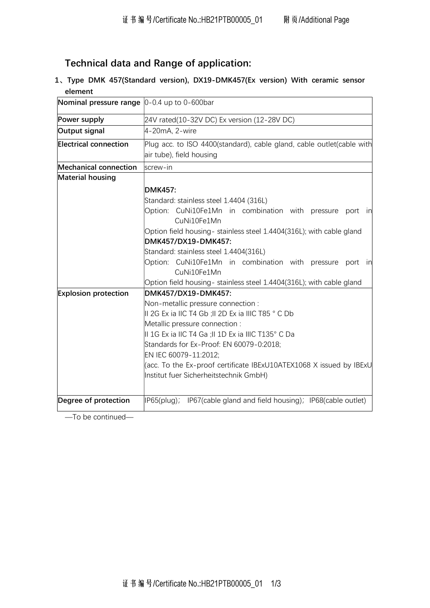# Technical data and Range of application:

1、Type DMK 457(Standard version), DX19-DMK457(Ex version) With ceramic sensor element

| <b>Nominal pressure range</b> $\vert 0 - 0.4 \vert$ up to 0-600bar |                                                                                      |  |
|--------------------------------------------------------------------|--------------------------------------------------------------------------------------|--|
| Power supply                                                       | 24V rated(10-32V DC) Ex version (12-28V DC)                                          |  |
| Output signal                                                      | 4-20mA, 2-wire                                                                       |  |
| <b>Electrical connection</b>                                       | Plug acc. to ISO 4400(standard), cable gland, cable outlet(cable with                |  |
|                                                                    | air tube), field housing                                                             |  |
| <b>Mechanical connection</b>                                       | screw-in                                                                             |  |
| <b>Material housing</b>                                            |                                                                                      |  |
|                                                                    | <b>DMK457:</b>                                                                       |  |
|                                                                    | Standard: stainless steel 1.4404 (316L)                                              |  |
|                                                                    | Option: CuNi10Fe1Mn in combination with pressure port in<br>CuNi10Fe1Mn              |  |
|                                                                    | Option field housing- stainless steel 1.4404(316L); with cable gland                 |  |
|                                                                    | DMK457/DX19-DMK457:                                                                  |  |
|                                                                    | Standard: stainless steel 1.4404(316L)                                               |  |
|                                                                    | Option: CuNi10Fe1Mn in combination with pressure port in                             |  |
|                                                                    | CuNi10Fe1Mn                                                                          |  |
|                                                                    | Option field housing- stainless steel 1.4404(316L); with cable gland                 |  |
| <b>Explosion protection</b>                                        | DMK457/DX19-DMK457:                                                                  |  |
|                                                                    | Non-metallic pressure connection :                                                   |  |
|                                                                    | II 2G Ex ia IIC T4 Gb ;II 2D Ex ia IIIC T85 ° C Db<br>Metallic pressure connection : |  |
|                                                                    |                                                                                      |  |
|                                                                    | II 1G Ex ia IIC T4 Ga ;II 1D Ex ia IIIC T135° C Da                                   |  |
|                                                                    | Standards for Ex-Proof: EN 60079-0:2018;                                             |  |
|                                                                    | EN IEC 60079-11:2012;                                                                |  |
|                                                                    | (acc. To the Ex-proof certificate IBExU10ATEX1068 X issued by IBExU                  |  |
|                                                                    | Institut fuer Sicherheitstechnik GmbH)                                               |  |
|                                                                    |                                                                                      |  |
| Degree of protection                                               | IP65(plug); IP67(cable gland and field housing); IP68(cable outlet)                  |  |

—To be continued—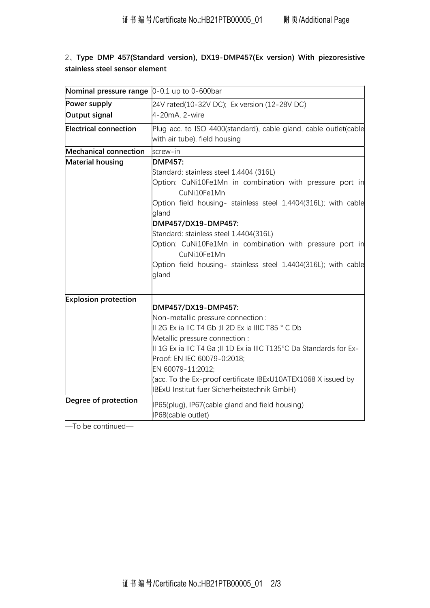# 2、Type DMP 457(Standard version), DX19-DMP457(Ex version) With piezoresistive stainless steel sensor element

| <b>Nominal pressure range</b> $[0-0.1$ up to 0-600bar |                                                                                                                                                                                                                                                                                                                                                                                                                                                                               |
|-------------------------------------------------------|-------------------------------------------------------------------------------------------------------------------------------------------------------------------------------------------------------------------------------------------------------------------------------------------------------------------------------------------------------------------------------------------------------------------------------------------------------------------------------|
| Power supply                                          | 24V rated(10-32V DC); Ex version (12-28V DC)                                                                                                                                                                                                                                                                                                                                                                                                                                  |
| Output signal                                         | 4-20mA, 2-wire                                                                                                                                                                                                                                                                                                                                                                                                                                                                |
| <b>Electrical connection</b>                          | Plug acc. to ISO 4400(standard), cable gland, cable outlet(cable<br>with air tube), field housing                                                                                                                                                                                                                                                                                                                                                                             |
| <b>Mechanical connection</b>                          | screw-in                                                                                                                                                                                                                                                                                                                                                                                                                                                                      |
| <b>Material housing</b>                               | <b>DMP457:</b><br>Standard: stainless steel 1.4404 (316L)<br>Option: CuNi10Fe1Mn in combination with pressure port in<br>CuNi10Fe1Mn<br>Option field housing- stainless steel 1.4404(316L); with cable<br>gland<br>DMP457/DX19-DMP457:<br>Standard: stainless steel 1.4404(316L)<br>Option: CuNi10Fe1Mn in combination with pressure port in<br>CuNi10Fe1Mn<br>Option field housing- stainless steel 1.4404(316L); with cable<br>gland                                        |
| <b>Explosion protection</b><br>Degree of protection   | DMP457/DX19-DMP457:<br>Non-metallic pressure connection :<br>II 2G Ex ia IIC T4 Gb ;II 2D Ex ia IIIC T85 ° C Db<br>Metallic pressure connection :<br>II 1G Ex ia IIC T4 Ga ;II 1D Ex ia IIIC T135°C Da Standards for Ex-<br>Proof: EN IEC 60079-0:2018;<br>EN 60079-11:2012;<br>(acc. To the Ex-proof certificate IBExU10ATEX1068 X issued by<br><b>IBExU Institut fuer Sicherheitstechnik GmbH)</b><br>IP65(plug), IP67(cable gland and field housing)<br>IP68(cable outlet) |

—To be continued—